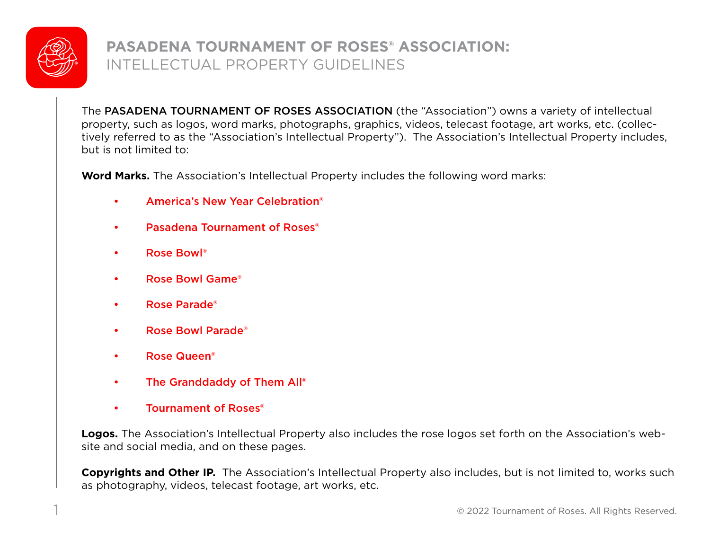

# **PASADENA TOURNAMENT OF ROSES® ASSOCIATION:** INTELLECTUAL PROPERTY GUIDELINES

The PASADENA TOURNAMENT OF ROSES ASSOCIATION (the "Association") owns a variety of intellectual property, such as logos, word marks, photographs, graphics, videos, telecast footage, art works, etc. (collectively referred to as the "Association's Intellectual Property"). The Association's Intellectual Property includes, but is not limited to:

**Word Marks.** The Association's Intellectual Property includes the following word marks:

- America's New Year Celebration®
- Pasadena Tournament of Roses<sup>®</sup>
- Rose Bowl®
- Rose Bowl Game®
- Rose Parade®
- Rose Bowl Parade®
- Rose Queen®
- The Granddaddy of Them All®
- Tournament of Roses®

**Logos.** The Association's Intellectual Property also includes the rose logos set forth on the Association's website and social media, and on these pages.

**Copyrights and Other IP.** The Association's Intellectual Property also includes, but is not limited to, works such as photography, videos, telecast footage, art works, etc.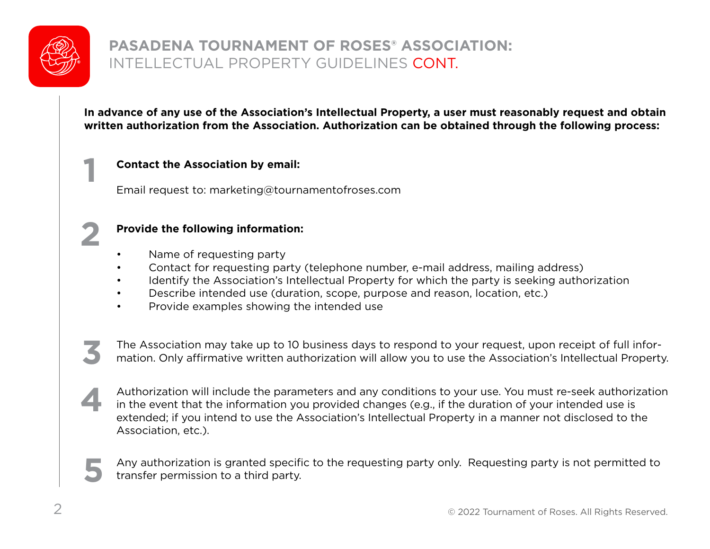

### **PASADENA TOURNAMENT OF ROSES® ASSOCIATION:** INTELLECTUAL PROPERTY GUIDELINES CONT.

**In advance of any use of the Association's Intellectual Property, a user must reasonably request and obtain written authorization from the Association. Authorization can be obtained through the following process:**

#### **Contact the Association by email:**

Email request to: marketing@tournamentofroses.com



**3**

**4**

**1**

#### **Provide the following information:**

- Name of requesting party
- Contact for requesting party (telephone number, e-mail address, mailing address)
- Identify the Association's Intellectual Property for which the party is seeking authorization
- Describe intended use (duration, scope, purpose and reason, location, etc.)
- Provide examples showing the intended use

 The Association may take up to 10 business days to respond to your request, upon receipt of full information. Only affirmative written authorization will allow you to use the Association's Intellectual Property.

Authorization will include the parameters and any conditions to your use. You must re-seek authorization in the event that the information you provided changes (e.g., if the duration of your intended use is extended; if you intend to use the Association's Intellectual Property in a manner not disclosed to the Association, etc.).

 Any authorization is granted specific to the requesting party only. Requesting party is not permitted to transfer permission to a third party. **5**